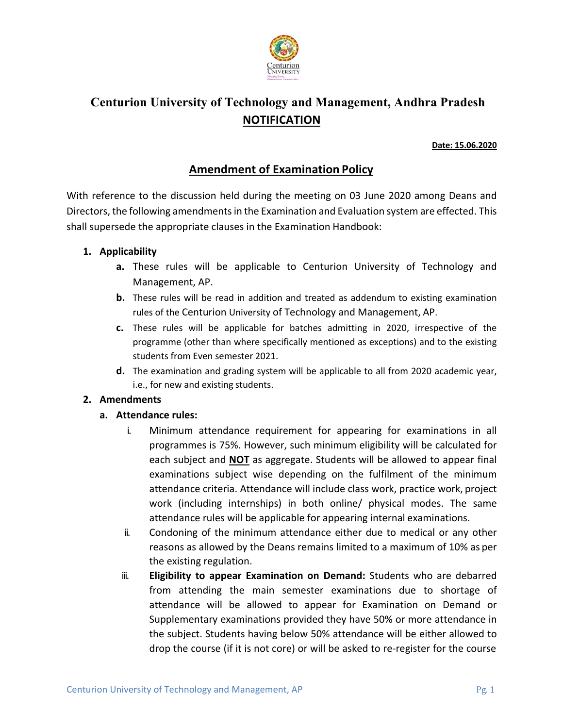

# **Centurion University of Technology and Management, Andhra Pradesh NOTIFICATION**

### **Date: 15.06.2020**

# **Amendment of Examination Policy**

With reference to the discussion held during the meeting on 03 June 2020 among Deans and Directors, the following amendmentsin the Examination and Evaluation system are effected. This shall supersede the appropriate clauses in the Examination Handbook:

## **1. Applicability**

- **a.** These rules will be applicable to Centurion University of Technology and Management, AP.
- **b.** These rules will be read in addition and treated as addendum to existing examination rules of the Centurion University of Technology and Management, AP.
- **c.** These rules will be applicable for batches admitting in 2020, irrespective of the programme (other than where specifically mentioned as exceptions) and to the existing students from Even semester 2021.
- **d.** The examination and grading system will be applicable to all from 2020 academic year, i.e., for new and existing students.

## **2. Amendments**

## **a. Attendance rules:**

- i. Minimum attendance requirement for appearing for examinations in all programmes is 75%. However, such minimum eligibility will be calculated for each subject and **NOT** as aggregate. Students will be allowed to appear final examinations subject wise depending on the fulfilment of the minimum attendance criteria. Attendance will include class work, practice work, project work (including internships) in both online/ physical modes. The same attendance rules will be applicable for appearing internal examinations.
- ii. Condoning of the minimum attendance either due to medical or any other reasons as allowed by the Deans remains limited to a maximum of 10% as per the existing regulation.
- iii. **Eligibility to appear Examination on Demand:** Students who are debarred from attending the main semester examinations due to shortage of attendance will be allowed to appear for Examination on Demand or Supplementary examinations provided they have 50% or more attendance in the subject. Students having below 50% attendance will be either allowed to drop the course (if it is not core) or will be asked to re-register for the course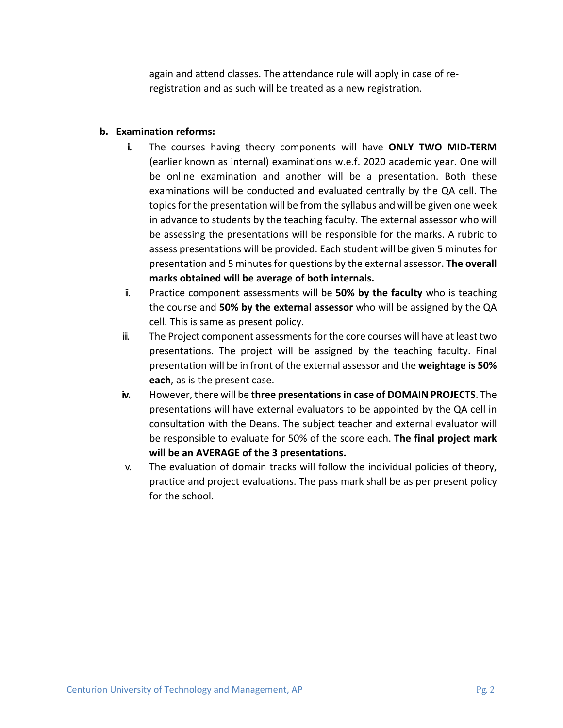again and attend classes. The attendance rule will apply in case of reregistration and as such will be treated as a new registration.

## **b. Examination reforms:**

- **i.** The courses having theory components will have **ONLY TWO MID-TERM**  (earlier known as internal) examinations w.e.f. 2020 academic year. One will be online examination and another will be a presentation. Both these examinations will be conducted and evaluated centrally by the QA cell. The topicsfor the presentation will be from the syllabus and will be given one week in advance to students by the teaching faculty. The external assessor who will be assessing the presentations will be responsible for the marks. A rubric to assess presentations will be provided. Each student will be given 5 minutes for presentation and 5 minutesfor questions by the external assessor. **The overall marks obtained will be average of both internals.**
- ii. Practice component assessments will be **50% by the faculty** who is teaching the course and **50% by the external assessor** who will be assigned by the QA cell. This is same as present policy.
- iii. The Project component assessmentsfor the core courses will have at least two presentations. The project will be assigned by the teaching faculty. Final presentation will be in front of the external assessor and the **weightage is 50% each**, as is the present case.
- **iv.** However, there will be **three presentationsin case of DOMAIN PROJECTS**. The presentations will have external evaluators to be appointed by the QA cell in consultation with the Deans. The subject teacher and external evaluator will be responsible to evaluate for 50% of the score each. **The final project mark will be an AVERAGE of the 3 presentations.**
- v. The evaluation of domain tracks will follow the individual policies of theory, practice and project evaluations. The pass mark shall be as per present policy for the school.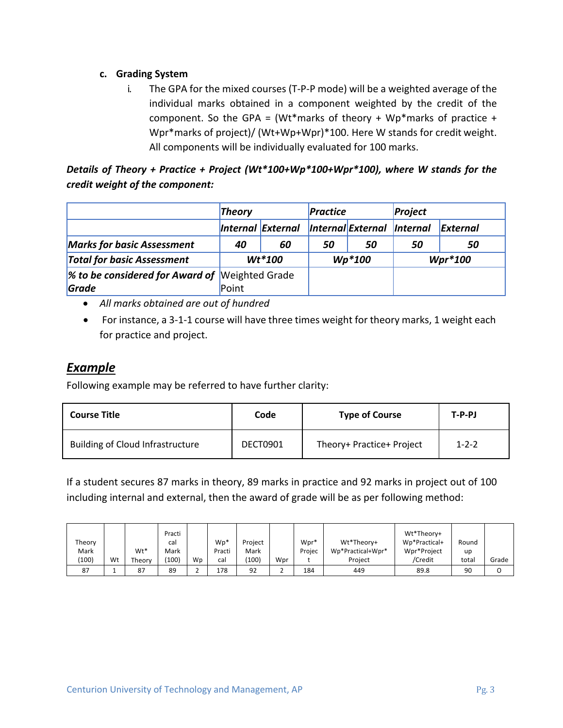# **c. Grading System**

i. The GPA for the mixed courses (T-P-P mode) will be a weighted average of the individual marks obtained in a component weighted by the credit of the component. So the GPA = (Wt\*marks of theory + Wp\*marks of practice + Wpr\*marks of project)/ (Wt+Wp+Wpr)\*100. Here W stands for credit weight. All components will be individually evaluated for 100 marks.

*Details of Theory + Practice + Project (Wt\*100+Wp\*100+Wpr\*100), where W stands for the credit weight of the component:*

|                                                | <b>Theory</b> |                   | <b>Practice</b> |                            | Project   |          |
|------------------------------------------------|---------------|-------------------|-----------------|----------------------------|-----------|----------|
|                                                |               | Internal External |                 | Internal External Internal |           | External |
| <b>Marks for basic Assessment</b>              | 40            | 60                | 50              | 50                         | 50        | 50       |
| <b>Total for basic Assessment</b>              | $Wt*100$      |                   | $Wp*100$        |                            | $Wpr*100$ |          |
| % to be considered for Award of Weighted Grade |               |                   |                 |                            |           |          |
| Grade                                          | Point         |                   |                 |                            |           |          |

- *All marks obtained are out of hundred*
- For instance, a 3-1-1 course will have three times weight for theory marks, 1 weight each for practice and project.

# *Example*

Following example may be referred to have further clarity:

| <b>Course Title</b>                     | Code     | <b>Type of Course</b>     | $T-P-PJ$    |
|-----------------------------------------|----------|---------------------------|-------------|
| <b>Building of Cloud Infrastructure</b> | DECT0901 | Theory+ Practice+ Project | $1 - 2 - 2$ |

If a student secures 87 marks in theory, 89 marks in practice and 92 marks in project out of 100 including internal and external, then the award of grade will be as per following method:

|        |    |        | Practi |    |        |         |     |        |                   | Wt*Theorv+    |       |       |
|--------|----|--------|--------|----|--------|---------|-----|--------|-------------------|---------------|-------|-------|
| Theory |    |        | cal    |    | $Wp*$  | Project |     | Wpr*   | Wt*Theorv+        | Wp*Practical+ | Round |       |
| Mark   |    | Wt*    | Mark   |    | Practi | Mark    |     | Proiec | Wp*Practical+Wpr* | Wpr*Project   | up    |       |
| (100)  | Wt | Theory | (100)  | Wp | cal    | (100)   | Wpr |        | Project           | /Credit       | total | Grade |
| 87     |    | 87     | 89     |    | 178    | 92      |     | 184    | 449               | 89.8          | 90    |       |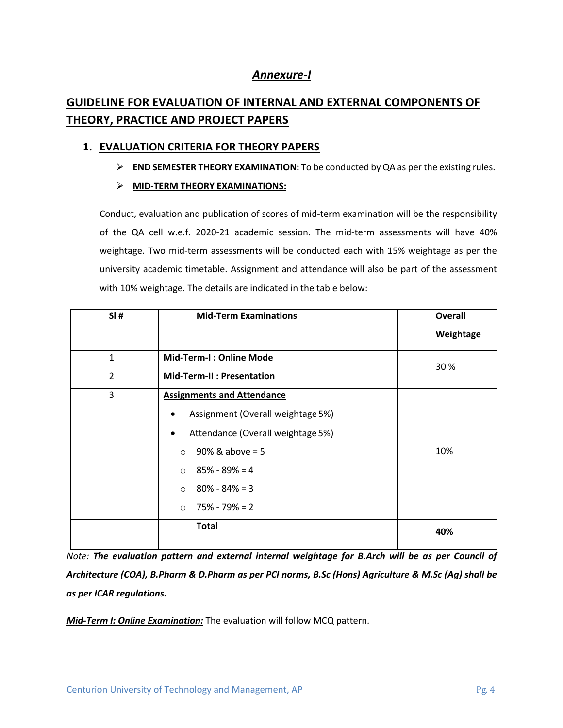# *Annexure-I*

# **GUIDELINE FOR EVALUATION OF INTERNAL AND EXTERNAL COMPONENTS OF THEORY, PRACTICE AND PROJECT PAPERS**

## **1. EVALUATION CRITERIA FOR THEORY PAPERS**

Ø **END SEMESTER THEORY EXAMINATION:** To be conducted by QA as per the existing rules.

## Ø **MID-TERM THEORY EXAMINATIONS:**

Conduct, evaluation and publication of scores of mid-term examination will be the responsibility of the QA cell w.e.f. 2020-21 academic session. The mid-term assessments will have 40% weightage. Two mid-term assessments will be conducted each with 15% weightage as per the university academic timetable. Assignment and attendance will also be part of the assessment with 10% weightage. The details are indicated in the table below:

| SI#          | <b>Mid-Term Examinations</b>                   | <b>Overall</b> |
|--------------|------------------------------------------------|----------------|
|              |                                                | Weightage      |
| $\mathbf{1}$ | Mid-Term-I: Online Mode                        | 30 %           |
| 2            | <b>Mid-Term-II: Presentation</b>               |                |
| 3            | <b>Assignments and Attendance</b>              |                |
|              | Assignment (Overall weightage 5%)              |                |
|              | Attendance (Overall weightage 5%)<br>$\bullet$ |                |
|              | $90\%$ & above = 5<br>$\circ$                  | 10%            |
|              | $85\% - 89\% = 4$<br>$\Omega$                  |                |
|              | $80\% - 84\% = 3$<br>$\Omega$                  |                |
|              | $\circ$ 75% - 79% = 2                          |                |
|              | <b>Total</b>                                   | 40%            |

*Note: The evaluation pattern and external internal weightage for B.Arch will be as per Council of Architecture (COA), B.Pharm & D.Pharm as per PCI norms, B.Sc (Hons) Agriculture & M.Sc (Ag) shall be as per ICAR regulations.*

*Mid-Term I: Online Examination:* The evaluation will follow MCQ pattern.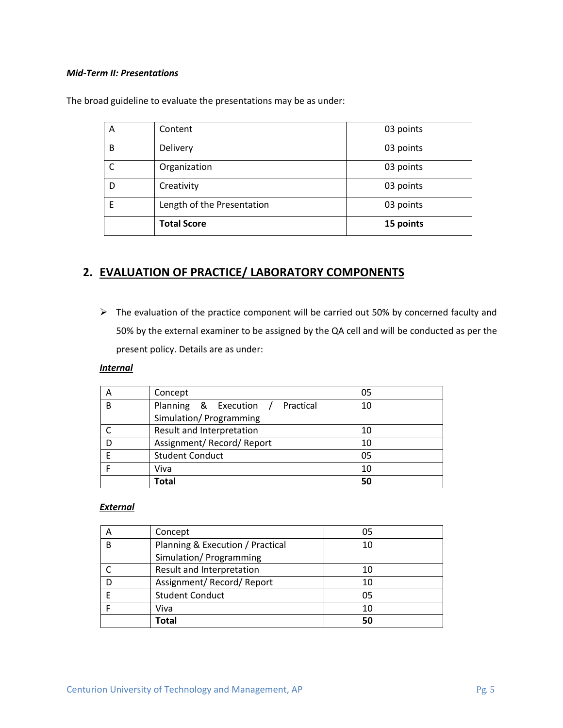#### *Mid-Term II: Presentations*

| А | Content                    | 03 points |
|---|----------------------------|-----------|
| B | Delivery                   | 03 points |
|   | Organization               | 03 points |
| D | Creativity                 | 03 points |
| E | Length of the Presentation | 03 points |
|   | <b>Total Score</b>         | 15 points |

The broad guideline to evaluate the presentations may be as under:

# **2. EVALUATION OF PRACTICE/ LABORATORY COMPONENTS**

 $\triangleright$  The evaluation of the practice component will be carried out 50% by concerned faculty and 50% by the external examiner to be assigned by the QA cell and will be conducted as per the present policy. Details are as under:

#### *Internal*

| A | Concept                             | 05 |
|---|-------------------------------------|----|
| B | Planning & Execution /<br>Practical | 10 |
|   | Simulation/ Programming             |    |
|   | Result and Interpretation           | 10 |
|   | Assignment/ Record/ Report          | 10 |
|   | <b>Student Conduct</b>              | 05 |
|   | Viva                                | 10 |
|   | Total                               | 50 |

## *External*

| Α | Concept                          | 05 |
|---|----------------------------------|----|
| B | Planning & Execution / Practical | 10 |
|   | Simulation/ Programming          |    |
|   | Result and Interpretation        | 10 |
|   | Assignment/Record/Report         | 10 |
|   | <b>Student Conduct</b>           | 05 |
|   | Viva                             | 10 |
|   | <b>Total</b>                     | 50 |